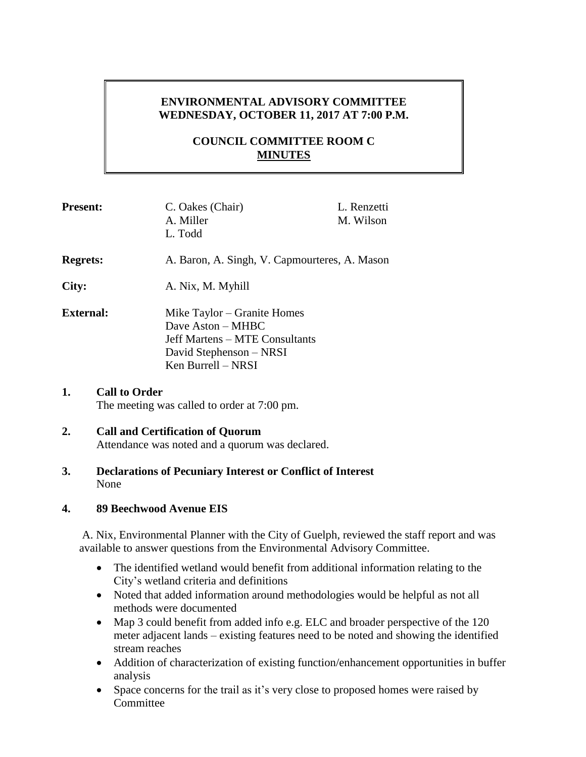# **ENVIRONMENTAL ADVISORY COMMITTEE WEDNESDAY, OCTOBER 11, 2017 AT 7:00 P.M.**

# **COUNCIL COMMITTEE ROOM C MINUTES**

| <b>Present:</b>            | C. Oakes (Chair)<br>A. Miller<br>L. Todd                                                                                            | L. Renzetti<br>M. Wilson |
|----------------------------|-------------------------------------------------------------------------------------------------------------------------------------|--------------------------|
| <b>Regrets:</b>            | A. Baron, A. Singh, V. Capmourteres, A. Mason                                                                                       |                          |
| City:                      | A. Nix, M. Myhill                                                                                                                   |                          |
| <b>External:</b>           | Mike Taylor – Granite Homes<br>Dave Aston – MHBC<br>Jeff Martens – MTE Consultants<br>David Stephenson – NRSI<br>Ken Burrell - NRSI |                          |
| <b>Call to Order</b><br>1. |                                                                                                                                     |                          |

# The meeting was called to order at 7:00 pm.

#### **2. Call and Certification of Quorum** Attendance was noted and a quorum was declared.

#### **3. Declarations of Pecuniary Interest or Conflict of Interest** None

### **4. 89 Beechwood Avenue EIS**

A. Nix, Environmental Planner with the City of Guelph, reviewed the staff report and was available to answer questions from the Environmental Advisory Committee.

- The identified wetland would benefit from additional information relating to the City's wetland criteria and definitions
- Noted that added information around methodologies would be helpful as not all methods were documented
- Map 3 could benefit from added info e.g. ELC and broader perspective of the 120 meter adjacent lands – existing features need to be noted and showing the identified stream reaches
- Addition of characterization of existing function/enhancement opportunities in buffer analysis
- Space concerns for the trail as it's very close to proposed homes were raised by **Committee**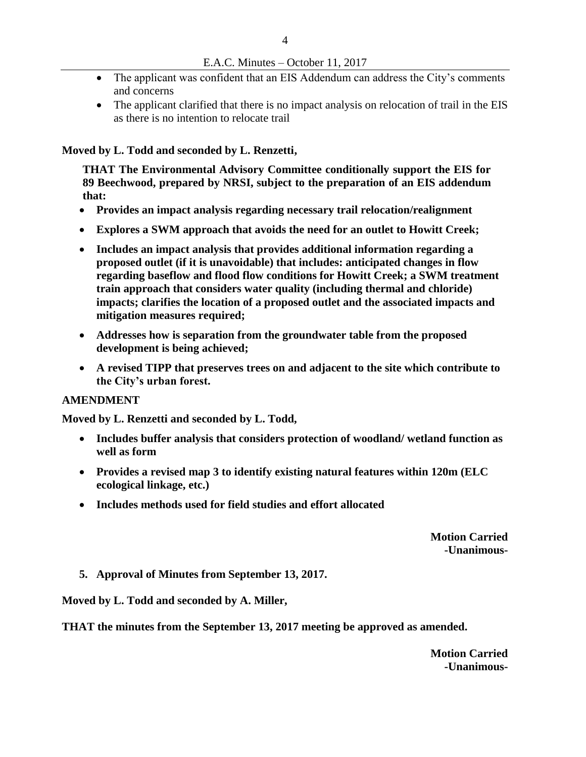- The applicant was confident that an EIS Addendum can address the City's comments and concerns
- The applicant clarified that there is no impact analysis on relocation of trail in the EIS as there is no intention to relocate trail

#### **Moved by L. Todd and seconded by L. Renzetti,**

**THAT The Environmental Advisory Committee conditionally support the EIS for 89 Beechwood, prepared by NRSI, subject to the preparation of an EIS addendum that:**

- **Provides an impact analysis regarding necessary trail relocation/realignment**
- **Explores a SWM approach that avoids the need for an outlet to Howitt Creek;**
- **Includes an impact analysis that provides additional information regarding a proposed outlet (if it is unavoidable) that includes: anticipated changes in flow regarding baseflow and flood flow conditions for Howitt Creek; a SWM treatment train approach that considers water quality (including thermal and chloride) impacts; clarifies the location of a proposed outlet and the associated impacts and mitigation measures required;**
- **Addresses how is separation from the groundwater table from the proposed development is being achieved;**
- **A revised TIPP that preserves trees on and adjacent to the site which contribute to the City's urban forest.**

#### **AMENDMENT**

**Moved by L. Renzetti and seconded by L. Todd,**

- **Includes buffer analysis that considers protection of woodland/ wetland function as well as form**
- **Provides a revised map 3 to identify existing natural features within 120m (ELC ecological linkage, etc.)**
- **Includes methods used for field studies and effort allocated**

**Motion Carried -Unanimous-**

**5. Approval of Minutes from September 13, 2017.**

**Moved by L. Todd and seconded by A. Miller,** 

**THAT the minutes from the September 13, 2017 meeting be approved as amended.** 

**Motion Carried -Unanimous-**